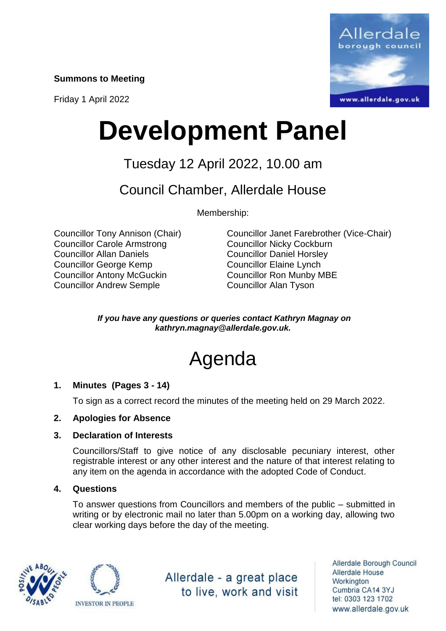**Summons to Meeting**

Friday 1 April 2022



# **Development Panel**

## Tuesday 12 April 2022, 10.00 am

### Council Chamber, Allerdale House

Membership:

Councillor Carole Armstrong Councillor Nicky Cockburn Councillor Allan Daniels Councillor Daniel Horsley Councillor George Kemp Councillor Elaine Lynch Councillor Antony McGuckin Councillor Ron Munby MBE Councillor Andrew Semple Councillor Alan Tyson

Councillor Tony Annison (Chair) Councillor Janet Farebrother (Vice-Chair)

*If you have any questions or queries contact Kathryn Magnay on kathryn.magnay@allerdale.gov.uk.*

## Agenda

#### **1. Minutes (Pages 3 - 14)**

To sign as a correct record the minutes of the meeting held on 29 March 2022.

#### **2. Apologies for Absence**

#### **3. Declaration of Interests**

Councillors/Staff to give notice of any disclosable pecuniary interest, other registrable interest or any other interest and the nature of that interest relating to any item on the agenda in accordance with the adopted Code of Conduct.

#### **4. Questions**

To answer questions from Councillors and members of the public – submitted in writing or by electronic mail no later than 5.00pm on a working day, allowing two clear working days before the day of the meeting.





Allerdale - a great place to live, work and visit

Allerdale Borough Council Allerdale House Workington Cumbria CA14 3YJ tel: 0303 123 1702 www.allerdale.gov.uk